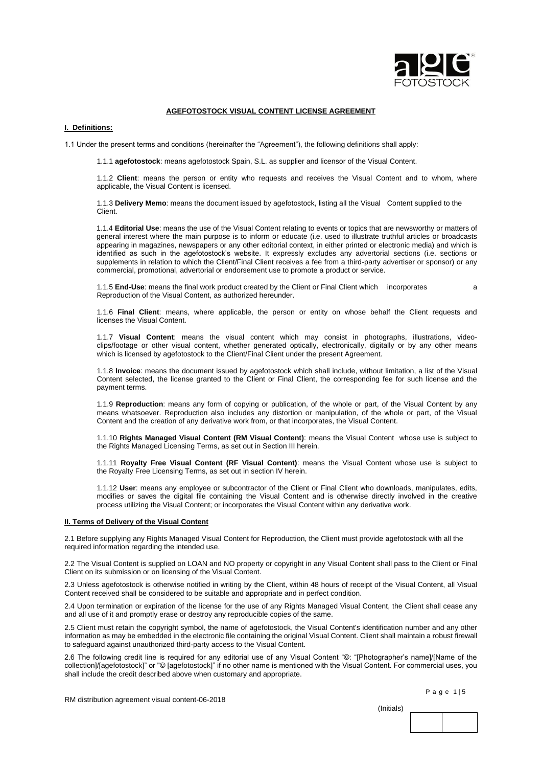

# **AGEFOTOSTOCK VISUAL CONTENT LICENSE AGREEMENT**

# **I. Definitions:**

1.1 Under the present terms and conditions (hereinafter the "Agreement"), the following definitions shall apply:

1.1.1 **agefotostock**: means agefotostock Spain, S.L. as supplier and licensor of the Visual Content.

1.1.2 **Client**: means the person or entity who requests and receives the Visual Content and to whom, where applicable, the Visual Content is licensed.

1.1.3 **Delivery Memo**: means the document issued by agefotostock, listing all the Visual Content supplied to the Client.

1.1.4 **Editorial Use**: means the use of the Visual Content relating to events or topics that are newsworthy or matters of general interest where the main purpose is to inform or educate (i.e. used to illustrate truthful articles or broadcasts appearing in magazines, newspapers or any other editorial context, in either printed or electronic media) and which is identified as such in the agefotostock's website. It expressly excludes any advertorial sections (i.e. sections or supplements in relation to which the Client/Final Client receives a fee from a third-party advertiser or sponsor) or any commercial, promotional, advertorial or endorsement use to promote a product or service.

1.1.5 **End-Use**: means the final work product created by the Client or Final Client which incorporates a Reproduction of the Visual Content, as authorized hereunder.

1.1.6 **Final Client**: means, where applicable, the person or entity on whose behalf the Client requests and licenses the Visual Content.

1.1.7 **Visual Content**: means the visual content which may consist in photographs, illustrations, videoclips/footage or other visual content, whether generated optically, electronically, digitally or by any other means which is licensed by agefotostock to the Client/Final Client under the present Agreement.

1.1.8 **Invoice**: means the document issued by agefotostock which shall include, without limitation, a list of the Visual Content selected, the license granted to the Client or Final Client, the corresponding fee for such license and the payment terms.

1.1.9 **Reproduction**: means any form of copying or publication, of the whole or part, of the Visual Content by any means whatsoever. Reproduction also includes any distortion or manipulation, of the whole or part, of the Visual Content and the creation of any derivative work from, or that incorporates, the Visual Content.

1.1.10 **Rights Managed Visual Content (RM Visual Content)**: means the Visual Content whose use is subject to the Rights Managed Licensing Terms, as set out in Section III herein.

1.1.11 **Royalty Free Visual Content (RF Visual Content)**: means the Visual Content whose use is subject to the Royalty Free Licensing Terms, as set out in section IV herein.

1.1.12 **User**: means any employee or subcontractor of the Client or Final Client who downloads, manipulates, edits, modifies or saves the digital file containing the Visual Content and is otherwise directly involved in the creative process utilizing the Visual Content; or incorporates the Visual Content within any derivative work.

#### **II. Terms of Delivery of the Visual Content**

2.1 Before supplying any Rights Managed Visual Content for Reproduction, the Client must provide agefotostock with all the required information regarding the intended use.

2.2 The Visual Content is supplied on LOAN and NO property or copyright in any Visual Content shall pass to the Client or Final Client on its submission or on licensing of the Visual Content.

2.3 Unless agefotostock is otherwise notified in writing by the Client, within 48 hours of receipt of the Visual Content, all Visual Content received shall be considered to be suitable and appropriate and in perfect condition.

2.4 Upon termination or expiration of the license for the use of any Rights Managed Visual Content, the Client shall cease any and all use of it and promptly erase or destroy any reproducible copies of the same.

2.5 Client must retain the copyright symbol, the name of agefotostock, the Visual Content's identification number and any other information as may be embedded in the electronic file containing the original Visual Content. Client shall maintain a robust firewall to safeguard against unauthorized third-party access to the Visual Content.

2.6 The following credit line is required for any editorial use of any Visual Content "©: "[Photographer's name]/[Name of the collection]/[agefotostock]" or "© [agefotostock]" if no other name is mentioned with the Visual Content. For commercial uses, you shall include the credit described above when customary and appropriate.

(Initials)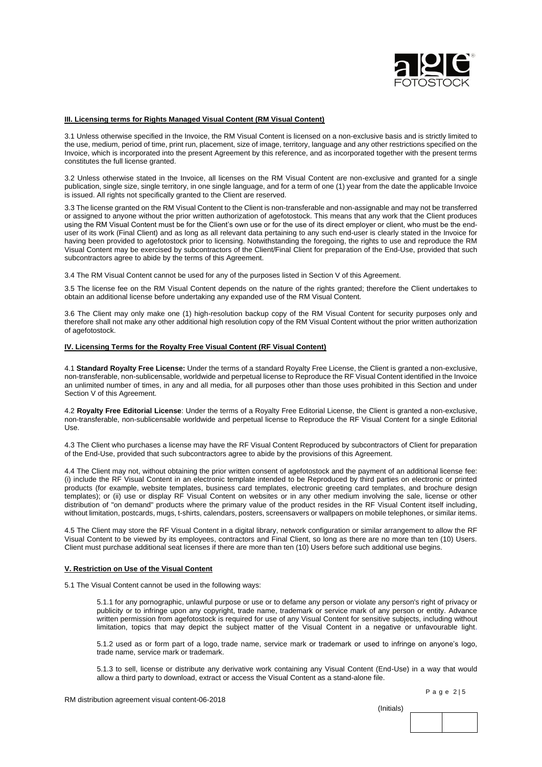

### **III. Licensing terms for Rights Managed Visual Content (RM Visual Content)**

3.1 Unless otherwise specified in the Invoice, the RM Visual Content is licensed on a non-exclusive basis and is strictly limited to the use, medium, period of time, print run, placement, size of image, territory, language and any other restrictions specified on the Invoice, which is incorporated into the present Agreement by this reference, and as incorporated together with the present terms constitutes the full license granted.

3.2 Unless otherwise stated in the Invoice, all licenses on the RM Visual Content are non-exclusive and granted for a single publication, single size, single territory, in one single language, and for a term of one (1) year from the date the applicable Invoice is issued. All rights not specifically granted to the Client are reserved.

3.3 The license granted on the RM Visual Content to the Client is non-transferable and non-assignable and may not be transferred or assigned to anyone without the prior written authorization of agefotostock. This means that any work that the Client produces using the RM Visual Content must be for the Client's own use or for the use of its direct employer or client, who must be the enduser of its work (Final Client) and as long as all relevant data pertaining to any such end-user is clearly stated in the Invoice for having been provided to agefotostock prior to licensing. Notwithstanding the foregoing, the rights to use and reproduce the RM Visual Content may be exercised by subcontractors of the Client/Final Client for preparation of the End-Use, provided that such subcontractors agree to abide by the terms of this Agreement.

3.4 The RM Visual Content cannot be used for any of the purposes listed in Section V of this Agreement.

3.5 The license fee on the RM Visual Content depends on the nature of the rights granted; therefore the Client undertakes to obtain an additional license before undertaking any expanded use of the RM Visual Content.

3.6 The Client may only make one (1) high-resolution backup copy of the RM Visual Content for security purposes only and therefore shall not make any other additional high resolution copy of the RM Visual Content without the prior written authorization of agefotostock.

### **IV. Licensing Terms for the Royalty Free Visual Content (RF Visual Content)**

4.1 **Standard Royalty Free License:** Under the terms of a standard Royalty Free License, the Client is granted a non-exclusive, non-transferable, non-sublicensable, worldwide and perpetual license to Reproduce the RF Visual Content identified in the Invoice an unlimited number of times, in any and all media, for all purposes other than those uses prohibited in this Section and under Section V of this Agreement.

4.2 **Royalty Free Editorial License**: Under the terms of a Royalty Free Editorial License, the Client is granted a non-exclusive, non-transferable, non-sublicensable worldwide and perpetual license to Reproduce the RF Visual Content for a single Editorial Use.

4.3 The Client who purchases a license may have the RF Visual Content Reproduced by subcontractors of Client for preparation of the End-Use, provided that such subcontractors agree to abide by the provisions of this Agreement.

4.4 The Client may not, without obtaining the prior written consent of agefotostock and the payment of an additional license fee: (i) include the RF Visual Content in an electronic template intended to be Reproduced by third parties on electronic or printed products (for example, website templates, business card templates, electronic greeting card templates, and brochure design templates); or (ii) use or display RF Visual Content on websites or in any other medium involving the sale, license or other distribution of "on demand" products where the primary value of the product resides in the RF Visual Content itself including, without limitation, postcards, mugs, t-shirts, calendars, posters, screensavers or wallpapers on mobile telephones, or similar items.

4.5 The Client may store the RF Visual Content in a digital library, network configuration or similar arrangement to allow the RF Visual Content to be viewed by its employees, contractors and Final Client, so long as there are no more than ten (10) Users. Client must purchase additional seat licenses if there are more than ten (10) Users before such additional use begins.

### **V. Restriction on Use of the Visual Content**

5.1 The Visual Content cannot be used in the following ways:

5.1.1 for any pornographic, unlawful purpose or use or to defame any person or violate any person's right of privacy or publicity or to infringe upon any copyright, trade name, trademark or service mark of any person or entity. Advance written permission from agefotostock is required for use of any Visual Content for sensitive subjects, including without limitation, topics that may depict the subject matter of the Visual Content in a negative or unfavourable light.

5.1.2 used as or form part of a logo, trade name, service mark or trademark or used to infringe on anyone's logo, trade name, service mark or trademark.

5.1.3 to sell, license or distribute any derivative work containing any Visual Content (End-Use) in a way that would allow a third party to download, extract or access the Visual Content as a stand-alone file.

Page 2 | 5

(Initials)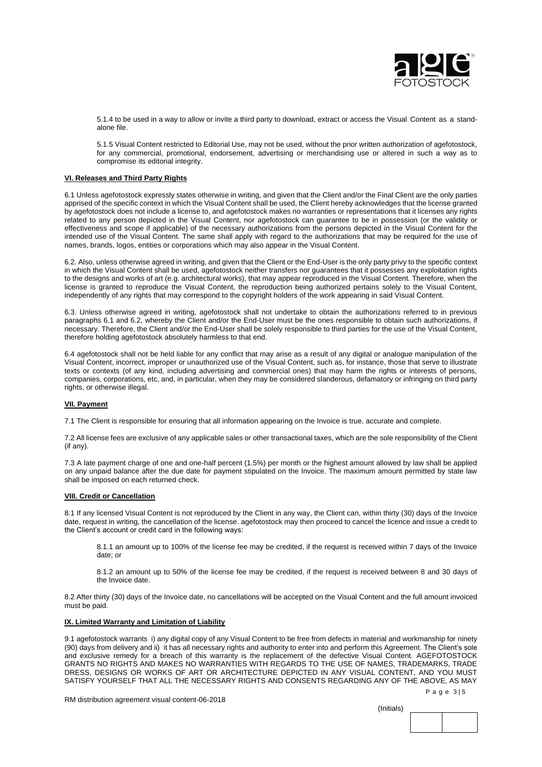

5.1.4 to be used in a way to allow or invite a third party to download, extract or access the Visual Content as a standalone file.

5.1.5 Visual Content restricted to Editorial Use, may not be used, without the prior written authorization of agefotostock, for any commercial, promotional, endorsement, advertising or merchandising use or altered in such a way as to compromise its editorial integrity.

## **VI. Releases and Third Party Rights**

6.1 Unless agefotostock expressly states otherwise in writing, and given that the Client and/or the Final Client are the only parties apprised of the specific context in which the Visual Content shall be used, the Client hereby acknowledges that the license granted by agefotostock does not include a license to, and agefotostock makes no warranties or representations that it licenses any rights related to any person depicted in the Visual Content, nor agefotostock can guarantee to be in possession (or the validity or effectiveness and scope if applicable) of the necessary authorizations from the persons depicted in the Visual Content for the intended use of the Visual Content. The same shall apply with regard to the authorizations that may be required for the use of names, brands, logos, entities or corporations which may also appear in the Visual Content.

6.2. Also, unless otherwise agreed in writing, and given that the Client or the End-User is the only party privy to the specific context in which the Visual Content shall be used, agefotostock neither transfers nor guarantees that it possesses any exploitation rights to the designs and works of art (e.g. architectural works), that may appear reproduced in the Visual Content. Therefore, when the license is granted to reproduce the Visual Content, the reproduction being authorized pertains solely to the Visual Content, independently of any rights that may correspond to the copyright holders of the work appearing in said Visual Content.

6.3. Unless otherwise agreed in writing, agefotostock shall not undertake to obtain the authorizations referred to in previous paragraphs 6.1 and 6.2, whereby the Client and/or the End-User must be the ones responsible to obtain such authorizations, if necessary. Therefore, the Client and/or the End-User shall be solely responsible to third parties for the use of the Visual Content, therefore holding agefotostock absolutely harmless to that end.

6.4 agefotostock shall not be held liable for any conflict that may arise as a result of any digital or analogue manipulation of the Visual Content, incorrect, improper or unauthorized use of the Visual Content, such as, for instance, those that serve to illustrate texts or contexts (of any kind, including advertising and commercial ones) that may harm the rights or interests of persons, companies, corporations, etc, and, in particular, when they may be considered slanderous, defamatory or infringing on third party rights, or otherwise illegal.

# **VII. Payment**

7.1 The Client is responsible for ensuring that all information appearing on the Invoice is true, accurate and complete.

7.2 All license fees are exclusive of any applicable sales or other transactional taxes, which are the sole responsibility of the Client (if any).

7.3 A late payment charge of one and one-half percent (1.5%) per month or the highest amount allowed by law shall be applied on any unpaid balance after the due date for payment stipulated on the Invoice. The maximum amount permitted by state law shall be imposed on each returned check.

## **VIII. Credit or Cancellation**

8.1 If any licensed Visual Content is not reproduced by the Client in any way, the Client can, within thirty (30) days of the Invoice date, request in writing, the cancellation of the license. agefotostock may then proceed to cancel the licence and issue a credit to the Client's account or credit card in the following ways:

8.1.1 an amount up to 100% of the license fee may be credited, if the request is received within 7 days of the Invoice date; or

8.1.2 an amount up to 50% of the license fee may be credited, if the request is received between 8 and 30 days of the Invoice date.

8.2 After thirty (30) days of the Invoice date, no cancellations will be accepted on the Visual Content and the full amount invoiced must be paid.

## **IX. Limited Warranty and Limitation of Liability**

9.1 agefotostock warrants i) any digital copy of any Visual Content to be free from defects in material and workmanship for ninety (90) days from delivery and ii) it has all necessary rights and authority to enter into and perform this Agreement. The Client's sole and exclusive remedy for a breach of this warranty is the replacement of the defective Visual Content. AGEFOTOSTOCK GRANTS NO RIGHTS AND MAKES NO WARRANTIES WITH REGARDS TO THE USE OF NAMES, TRADEMARKS, TRADE DRESS, DESIGNS OR WORKS OF ART OR ARCHITECTURE DEPICTED IN ANY VISUAL CONTENT, AND YOU MUST SATISFY YOURSELF THAT ALL THE NECESSARY RIGHTS AND CONSENTS REGARDING ANY OF THE ABOVE, AS MAY

Page 3 | 5

RM distribution agreement visual content-06-2018

(Initials)

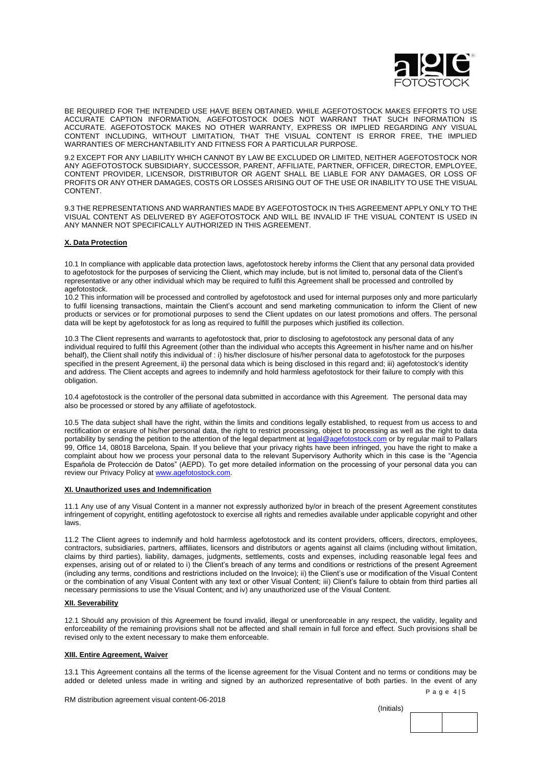

BE REQUIRED FOR THE INTENDED USE HAVE BEEN OBTAINED. WHILE AGEFOTOSTOCK MAKES EFFORTS TO USE ACCURATE CAPTION INFORMATION, AGEFOTOSTOCK DOES NOT WARRANT THAT SUCH INFORMATION IS ACCURATE. AGEFOTOSTOCK MAKES NO OTHER WARRANTY, EXPRESS OR IMPLIED REGARDING ANY VISUAL CONTENT INCLUDING, WITHOUT LIMITATION, THAT THE VISUAL CONTENT IS ERROR FREE, THE IMPLIED WARRANTIES OF MERCHANTABILITY AND FITNESS FOR A PARTICULAR PURPOSE.

9.2 EXCEPT FOR ANY LIABILITY WHICH CANNOT BY LAW BE EXCLUDED OR LIMITED, NEITHER AGEFOTOSTOCK NOR ANY AGEFOTOSTOCK SUBSIDIARY, SUCCESSOR, PARENT, AFFILIATE, PARTNER, OFFICER, DIRECTOR, EMPLOYEE, CONTENT PROVIDER, LICENSOR, DISTRIBUTOR OR AGENT SHALL BE LIABLE FOR ANY DAMAGES, OR LOSS OF PROFITS OR ANY OTHER DAMAGES, COSTS OR LOSSES ARISING OUT OF THE USE OR INABILITY TO USE THE VISUAL **CONTENT.** 

9.3 THE REPRESENTATIONS AND WARRANTIES MADE BY AGEFOTOSTOCK IN THIS AGREEMENT APPLY ONLY TO THE VISUAL CONTENT AS DELIVERED BY AGEFOTOSTOCK AND WILL BE INVALID IF THE VISUAL CONTENT IS USED IN ANY MANNER NOT SPECIFICALLY AUTHORIZED IN THIS AGREEMENT.

## **X. Data Protection**

10.1 In compliance with applicable data protection laws, agefotostock hereby informs the Client that any personal data provided to agefotostock for the purposes of servicing the Client, which may include, but is not limited to, personal data of the Client's representative or any other individual which may be required to fulfil this Agreement shall be processed and controlled by agefotostock.

10.2 This information will be processed and controlled by agefotostock and used for internal purposes only and more particularly to fulfil licensing transactions, maintain the Client's account and send marketing communication to inform the Client of new products or services or for promotional purposes to send the Client updates on our latest promotions and offers. The personal data will be kept by agefotostock for as long as required to fulfill the purposes which justified its collection.

10.3 The Client represents and warrants to agefotostock that, prior to disclosing to agefotostock any personal data of any individual required to fulfil this Agreement (other than the individual who accepts this Agreement in his/her name and on his/her behalf), the Client shall notify this individual of : i) his/her disclosure of his/her personal data to agefotostock for the purposes specified in the present Agreement, ii) the personal data which is being disclosed in this regard and; iii) agefotostock's identity and address. The Client accepts and agrees to indemnify and hold harmless agefotostock for their failure to comply with this obligation.

10.4 agefotostock is the controller of the personal data submitted in accordance with this Agreement. The personal data may also be processed or stored by any affiliate of agefotostock.

10.5 The data subject shall have the right, within the limits and conditions legally established, to request from us access to and rectification or erasure of his/her personal data, the right to restrict processing, object to processing as well as the right to data portability by sending the petition to the attention of the legal department at [legal@agefotostock.com](mailto:legal@agefotostock.com) or by regular mail to Pallars 99, Office 14, 08018 Barcelona, Spain. If you believe that your privacy rights have been infringed, you have the right to make a complaint about how we process your personal data to the relevant Supervisory Authority which in this case is the "Agencia Española de Protección de Datos" (AEPD). To get more detailed information on the processing of your personal data you can review our Privacy Policy at [www.agefotostock.com.](http://www.agefotostock.com/)

#### **XI. Unauthorized uses and Indemnification**

11.1 Any use of any Visual Content in a manner not expressly authorized by/or in breach of the present Agreement constitutes infringement of copyright, entitling agefotostock to exercise all rights and remedies available under applicable copyright and other laws.

11.2 The Client agrees to indemnify and hold harmless agefotostock and its content providers, officers, directors, employees, contractors, subsidiaries, partners, affiliates, licensors and distributors or agents against all claims (including without limitation, claims by third parties), liability, damages, judgments, settlements, costs and expenses, including reasonable legal fees and expenses, arising out of or related to i) the Client's breach of any terms and conditions or restrictions of the present Agreement (including any terms, conditions and restrictions included on the Invoice); ii) the Client's use or modification of the Visual Content or the combination of any Visual Content with any text or other Visual Content; iii) Client's failure to obtain from third parties all necessary permissions to use the Visual Content; and iv) any unauthorized use of the Visual Content.

#### **XII. Severability**

12.1 Should any provision of this Agreement be found invalid, illegal or unenforceable in any respect, the validity, legality and enforceability of the remaining provisions shall not be affected and shall remain in full force and effect. Such provisions shall be revised only to the extent necessary to make them enforceable.

#### **XIII. Entire Agreement, Waiver**

13.1 This Agreement contains all the terms of the license agreement for the Visual Content and no terms or conditions may be added or deleted unless made in writing and signed by an authorized representative of both parties. In the event of any

RM distribution agreement visual content-06-2018

(Initials)



Page 4 | 5